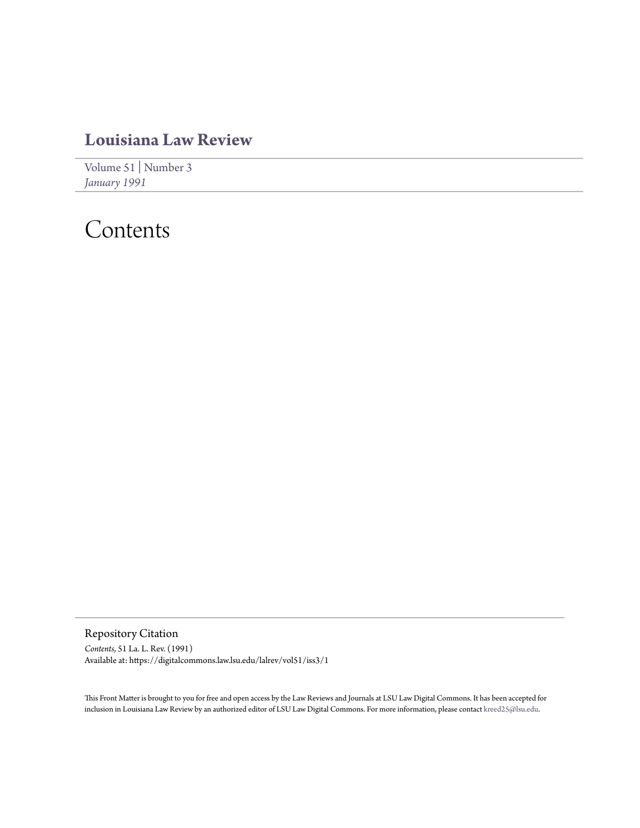### **[Louisiana Law Review](https://digitalcommons.law.lsu.edu/lalrev)**

[Volume 51](https://digitalcommons.law.lsu.edu/lalrev/vol51) | [Number 3](https://digitalcommons.law.lsu.edu/lalrev/vol51/iss3) *[January 1991](https://digitalcommons.law.lsu.edu/lalrev/vol51/iss3)*

## Contents

Repository Citation *Contents*, 51 La. L. Rev. (1991) Available at: https://digitalcommons.law.lsu.edu/lalrev/vol51/iss3/1

This Front Matter is brought to you for free and open access by the Law Reviews and Journals at LSU Law Digital Commons. It has been accepted for inclusion in Louisiana Law Review by an authorized editor of LSU Law Digital Commons. For more information, please contact [kreed25@lsu.edu](mailto:kreed25@lsu.edu).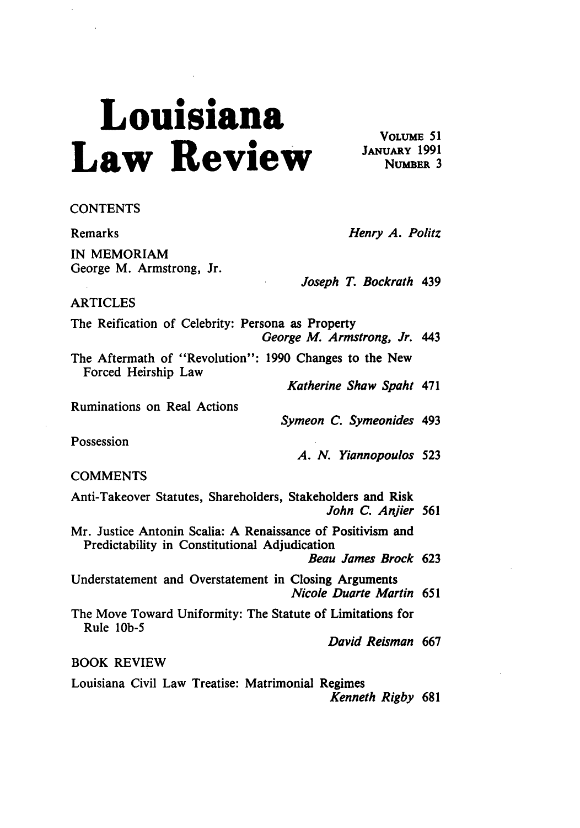# **Louisiana** VOLUME 51  $\mathbf{K}$ eview  $\frac{\text{JANUARY}}{\text{NUMBER}}$ 3

#### **CONTENTS**

IN MEMORIAM George M. Armstrong, Jr.

Remarks *Henry A. Politz*

*Joseph* T. Bockrath 439

#### ARTICLES

The Reification of Celebrity: Persona as Property *George M. Armstrong, Jr. 443*

The Aftermath of "Revolution": **1990** Changes to the New Forced Heirship Law

*Katherine Shaw Spaht* 471

Ruminations on Real Actions

*Symeon C. Symeonides* 493

Possession

*A. N. Yiannopoulos 523*

#### **COMMENTS**

Anti-Takeover Statutes, Shareholders, Stakeholders and Risk *John C. Anjier* **561**

Mr. Justice Antonin Scalia: **A** Renaissance of Positivism and Predictability in Constitutional Adjudication

Beau James Brock **623**

Understatement and Overstatement in Closing Arguments *Nicole Duarte Martin 651*

The Move Toward Uniformity: The Statute of Limitations for Rule **lOb-5**

*David Reisman* **667**

### BOOK REVIEW

Louisiana Civil Law Treatise: Matrimonial Regimes

*Kenneth Rigby* **681**